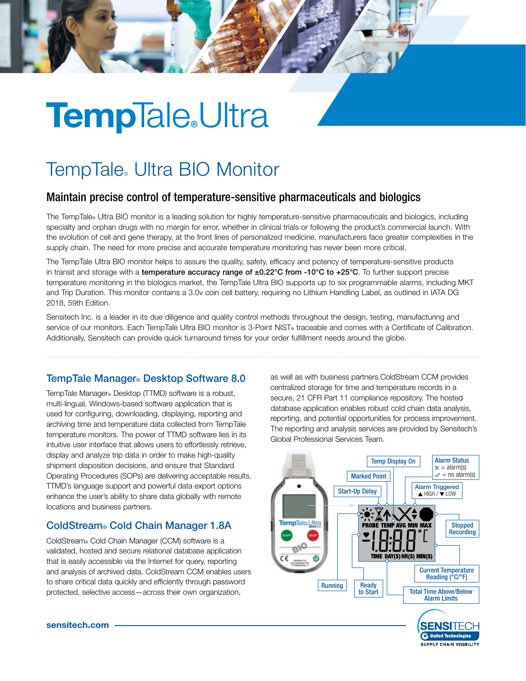# **TempTale**Ultra

## TempTale® Ultra BIO Monitor

### Maintain precise control of temperature-sensitive pharmaceuticals and biologics

The TempTale® Ultra BIO monitor is a leading solution for highly temperature-sensitive pharmaceuticals and biologics, including specialty and orphan drugs with no margin for error, whether in clinical trials or following the product's commercial launch. With the evolution of cell and gene therapy, at the front lines of personalized medicine, manufacturers face greater complexities in the supply chain. The need for more precise and accurate temperature monitoring has never been more critical.

The TempTale Ultra BIO monitor helps to assure the quality, safety, efficacy and potency of temperature-sensitive products in transit and storage with a temperature accuracy range of  $\pm 0.22^{\circ}$ C from -10°C to  $+25^{\circ}$ C. To further support precise temperature monitoring in the biologics market, the TempTale Ultra BIO supports up to six programmable alarms, including MKT and Trip Duration. This monitor contains a 3.0v coin cell battery, requiring no Lithium Handling Label, as outlined in IATA DG 2018, 59th Edition.

Sensitech Inc. is a leader in its due diligence and quality control methods throughout the design, testing, manufacturing and service of our monitors. Each TempTale Ultra BIO monitor is 3-Point NIST® traceable and comes with a Certificate of Calibration. Additionally, Sensitech can provide quick turnaround times for your order fulfillment needs around the globe.

#### TempTale Manager® Desktop Software 8.0

TempTale Manager® Desktop (TTMD) software is a robust, multi-lingual, Windows-based software application that is used for configuring, downloading, displaying, reporting and archiving time and temperature data collected from TempTale temperature monitors. The power of TTMD software lies in its intuitive user interface that allows users to effortlessly retrieve, display and analyze trip data in order to make high-quality shipment disposition decisions, and ensure that Standard Operating Procedures (SOPs) are delivering acceptable results. TTMD's language support and powerful data export options enhance the user's ability to share data globally with remote locations and business partners.

#### ColdStream® Cold Chain Manager 1.8A

ColdStream® Cold Chain Manager (CCM) software is a validated, hosted and secure relational database application that is easily accessible via the Internet for query, reporting and analysis of archived data. ColdStream CCM enables users to share critical data quickly and efficiently through password protected, selective access—across their own organization,

as well as with business partners.ColdStream CCM provides centralized storage for time and temperature records in a secure, 21 CFR Part 11 compliance repository. The hosted database application enables robust cold chain data analysis, reporting, and potential opportunities for process improvement. The reporting and analysis services are provided by Sensitech's Global Professional Services Team.



sensitech.com